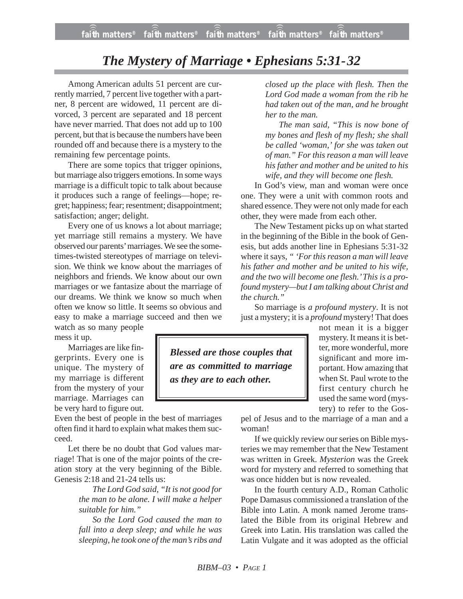## *The Mystery of Marriage • Ephesians 5:31-32*

Among American adults 51 percent are currently married, 7 percent live together with a partner, 8 percent are widowed, 11 percent are divorced, 3 percent are separated and 18 percent have never married. That does not add up to 100 percent, but that is because the numbers have been rounded off and because there is a mystery to the remaining few percentage points.

There are some topics that trigger opinions, but marriage also triggers emotions. In some ways marriage is a difficult topic to talk about because it produces such a range of feelings—hope; regret; happiness; fear; resentment; disappointment; satisfaction; anger; delight.

Every one of us knows a lot about marriage; yet marriage still remains a mystery. We have observed our parents' marriages. We see the sometimes-twisted stereotypes of marriage on television. We think we know about the marriages of neighbors and friends. We know about our own marriages or we fantasize about the marriage of our dreams. We think we know so much when often we know so little. It seems so obvious and easy to make a marriage succeed and then we

watch as so many people mess it up.

Marriages are like fingerprints. Every one is unique. The mystery of my marriage is different from the mystery of your marriage. Marriages can be very hard to figure out.

Even the best of people in the best of marriages often find it hard to explain what makes them succeed.

Let there be no doubt that God values marriage! That is one of the major points of the creation story at the very beginning of the Bible. Genesis 2:18 and 21-24 tells us:

> *The Lord God said, "It is not good for the man to be alone. I will make a helper suitable for him."*

*So the Lord God caused the man to fall into a deep sleep; and while he was sleeping, he took one of the man's ribs and* *closed up the place with flesh. Then the Lord God made a woman from the rib he had taken out of the man, and he brought her to the man.*

*The man said, "This is now bone of my bones and flesh of my flesh; she shall be called 'woman,' for she was taken out of man." For this reason a man will leave his father and mother and be united to his wife, and they will become one flesh.*

In God's view, man and woman were once one. They were a unit with common roots and shared essence. They were not only made for each other, they were made from each other.

The New Testament picks up on what started in the beginning of the Bible in the book of Genesis, but adds another line in Ephesians 5:31-32 where it says, *" 'For this reason a man will leave his father and mother and be united to his wife, and the two will become one flesh.' This is a profound mystery—but I am talking about Christ and the church."*

So marriage is *a profound mystery*. It is not just a mystery; it is a *profound* mystery! That does

*Blessed are those couples that are as committed to marriage as they are to each other.*

not mean it is a bigger mystery. It means it is better, more wonderful, more significant and more important. How amazing that when St. Paul wrote to the first century church he used the same word (mystery) to refer to the Gos-

pel of Jesus and to the marriage of a man and a woman!

If we quickly review our series on Bible mysteries we may remember that the New Testament was written in Greek. *Mysterion* was the Greek word for mystery and referred to something that was once hidden but is now revealed.

In the fourth century A.D., Roman Catholic Pope Damasus commissioned a translation of the Bible into Latin. A monk named Jerome translated the Bible from its original Hebrew and Greek into Latin. His translation was called the Latin Vulgate and it was adopted as the official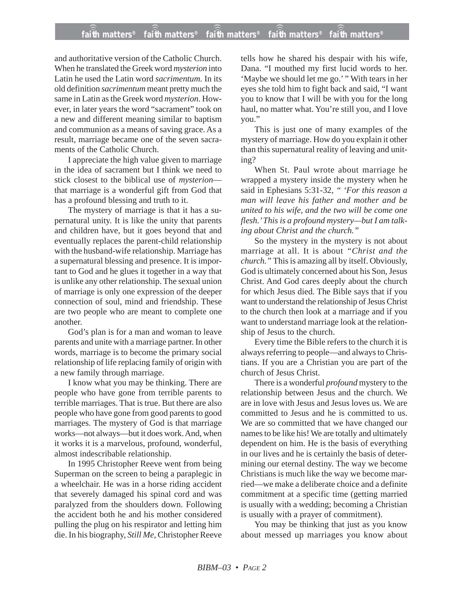and authoritative version of the Catholic Church. When he translated the Greek word *mysterion* into Latin he used the Latin word *sacrimentum.* In its old definition *sacrimentum* meant pretty much the same in Latin as the Greek word *mysterion*. However, in later years the word "sacrament" took on a new and different meaning similar to baptism and communion as a means of saving grace. As a result, marriage became one of the seven sacraments of the Catholic Church.

I appreciate the high value given to marriage in the idea of sacrament but I think we need to stick closest to the biblical use of *mysterion* that marriage is a wonderful gift from God that has a profound blessing and truth to it.

The mystery of marriage is that it has a supernatural unity. It is like the unity that parents and children have, but it goes beyond that and eventually replaces the parent-child relationship with the husband-wife relationship. Marriage has a supernatural blessing and presence. It is important to God and he glues it together in a way that is unlike any other relationship. The sexual union of marriage is only one expression of the deeper connection of soul, mind and friendship. These are two people who are meant to complete one another.

God's plan is for a man and woman to leave parents and unite with a marriage partner. In other words, marriage is to become the primary social relationship of life replacing family of origin with a new family through marriage.

I know what you may be thinking. There are people who have gone from terrible parents to terrible marriages. That is true. But there are also people who have gone from good parents to good marriages. The mystery of God is that marriage works—not always—but it does work. And, when it works it is a marvelous, profound, wonderful, almost indescribable relationship.

In 1995 Christopher Reeve went from being Superman on the screen to being a paraplegic in a wheelchair. He was in a horse riding accident that severely damaged his spinal cord and was paralyzed from the shoulders down. Following the accident both he and his mother considered pulling the plug on his respirator and letting him die. In his biography, *Still Me,* Christopher Reeve tells how he shared his despair with his wife, Dana. "I mouthed my first lucid words to her. 'Maybe we should let me go.' " With tears in her eyes she told him to fight back and said, "I want you to know that I will be with you for the long haul, no matter what. You're still you, and I love you."

This is just one of many examples of the mystery of marriage. How do you explain it other than this supernatural reality of leaving and uniting?

When St. Paul wrote about marriage he wrapped a mystery inside the mystery when he said in Ephesians 5:31-32, *" 'For this reason a man will leave his father and mother and be united to his wife, and the two will be come one flesh.' This is a profound mystery—but I am talking about Christ and the church."*

So the mystery in the mystery is not about marriage at all. It is about *"Christ and the church."* This is amazing all by itself. Obviously, God is ultimately concerned about his Son, Jesus Christ. And God cares deeply about the church for which Jesus died. The Bible says that if you want to understand the relationship of Jesus Christ to the church then look at a marriage and if you want to understand marriage look at the relationship of Jesus to the church.

Every time the Bible refers to the church it is always referring to people—and always to Christians. If you are a Christian you are part of the church of Jesus Christ.

There is a wonderful *profound* mystery to the relationship between Jesus and the church. We are in love with Jesus and Jesus loves us. We are committed to Jesus and he is committed to us. We are so committed that we have changed our names to be like his! We are totally and ultimately dependent on him. He is the basis of everything in our lives and he is certainly the basis of determining our eternal destiny. The way we become Christians is much like the way we become married—we make a deliberate choice and a definite commitment at a specific time (getting married is usually with a wedding; becoming a Christian is usually with a prayer of commitment).

You may be thinking that just as you know about messed up marriages you know about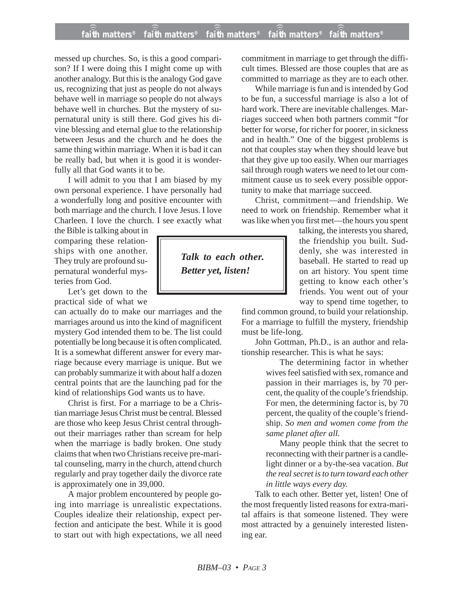## **faith matters® faith matters® faith matters® faith matters® faith matters®** ))) ))) ))) ))) )))

messed up churches. So, is this a good comparison? If I were doing this I might come up with another analogy. But this is the analogy God gave us, recognizing that just as people do not always behave well in marriage so people do not always behave well in churches. But the mystery of supernatural unity is still there. God gives his divine blessing and eternal glue to the relationship between Jesus and the church and he does the same thing within marriage. When it is bad it can be really bad, but when it is good it is wonderfully all that God wants it to be.

I will admit to you that I am biased by my own personal experience. I have personally had a wonderfully long and positive encounter with both marriage and the church. I love Jesus. I love Charleen. I love the church. I see exactly what

the Bible is talking about in comparing these relationships with one another. They truly are profound supernatural wonderful mysteries from God.

Let's get down to the practical side of what we

can actually do to make our marriages and the marriages around us into the kind of magnificent mystery God intended them to be. The list could potentially be long because it is often complicated. It is a somewhat different answer for every marriage because every marriage is unique. But we can probably summarize it with about half a dozen central points that are the launching pad for the kind of relationships God wants us to have.

Christ is first. For a marriage to be a Christian marriage Jesus Christ must be central. Blessed are those who keep Jesus Christ central throughout their marriages rather than scream for help when the marriage is badly broken. One study claims that when two Christians receive pre-marital counseling, marry in the church, attend church regularly and pray together daily the divorce rate is approximately one in 39,000.

A major problem encountered by people going into marriage is unrealistic expectations. Couples idealize their relationship, expect perfection and anticipate the best. While it is good to start out with high expectations, we all need

*Talk to each other. Better yet, listen!*

commitment in marriage to get through the difficult times. Blessed are those couples that are as committed to marriage as they are to each other.

While marriage is fun and is intended by God to be fun, a successful marriage is also a lot of hard work. There are inevitable challenges. Marriages succeed when both partners commit "for better for worse, for richer for poorer, in sickness and in health." One of the biggest problems is not that couples stay when they should leave but that they give up too easily. When our marriages sail through rough waters we need to let our commitment cause us to seek every possible opportunity to make that marriage succeed.

Christ, commitment—and friendship. We need to work on friendship. Remember what it was like when you first met—the hours you spent

> talking, the interests you shared, the friendship you built. Suddenly, she was interested in baseball. He started to read up on art history. You spent time getting to know each other's friends. You went out of your way to spend time together, to

find common ground, to build your relationship. For a marriage to fulfill the mystery, friendship must be life-long.

John Gottman, Ph.D., is an author and relationship researcher. This is what he says:

> The determining factor in whether wives feel satisfied with sex, romance and passion in their marriages is, by 70 percent, the quality of the couple's friendship. For men, the determining factor is, by 70 percent, the quality of the couple's friendship. *So men and women come from the same planet after all.*

> Many people think that the secret to reconnecting with their partner is a candlelight dinner or a by-the-sea vacation. *But the real secret is to turn toward each other in little ways every day.*

Talk to each other. Better yet, listen! One of the most frequently listed reasons for extra-marital affairs is that someone listened. They were most attracted by a genuinely interested listening ear.